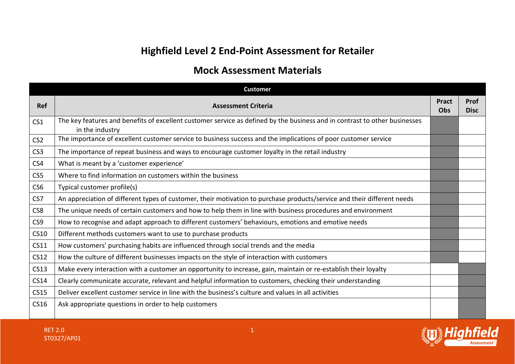## **Highfield Level 2 End-Point Assessment for Retailer**

## **Mock Assessment Materials**

|                  | <b>Customer</b>                                                                                                                               |                     |                            |
|------------------|-----------------------------------------------------------------------------------------------------------------------------------------------|---------------------|----------------------------|
| Ref              | <b>Assessment Criteria</b>                                                                                                                    | <b>Pract</b><br>Obs | <b>Prof</b><br><b>Disc</b> |
| CS <sub>1</sub>  | The key features and benefits of excellent customer service as defined by the business and in contrast to other businesses<br>in the industry |                     |                            |
| CS <sub>2</sub>  | The importance of excellent customer service to business success and the implications of poor customer service                                |                     |                            |
| CS <sub>3</sub>  | The importance of repeat business and ways to encourage customer loyalty in the retail industry                                               |                     |                            |
| CS4              | What is meant by a 'customer experience'                                                                                                      |                     |                            |
| CS5              | Where to find information on customers within the business                                                                                    |                     |                            |
| CS <sub>6</sub>  | Typical customer profile(s)                                                                                                                   |                     |                            |
| CS7              | An appreciation of different types of customer, their motivation to purchase products/service and their different needs                       |                     |                            |
| CS8              | The unique needs of certain customers and how to help them in line with business procedures and environment                                   |                     |                            |
| CS9              | How to recognise and adapt approach to different customers' behaviours, emotions and emotive needs                                            |                     |                            |
| <b>CS10</b>      | Different methods customers want to use to purchase products                                                                                  |                     |                            |
| <b>CS11</b>      | How customers' purchasing habits are influenced through social trends and the media                                                           |                     |                            |
| <b>CS12</b>      | How the culture of different businesses impacts on the style of interaction with customers                                                    |                     |                            |
| <b>CS13</b>      | Make every interaction with a customer an opportunity to increase, gain, maintain or re-establish their loyalty                               |                     |                            |
| CS <sub>14</sub> | Clearly communicate accurate, relevant and helpful information to customers, checking their understanding                                     |                     |                            |
| <b>CS15</b>      | Deliver excellent customer service in line with the business's culture and values in all activities                                           |                     |                            |
| CS16             | Ask appropriate questions in order to help customers                                                                                          |                     |                            |

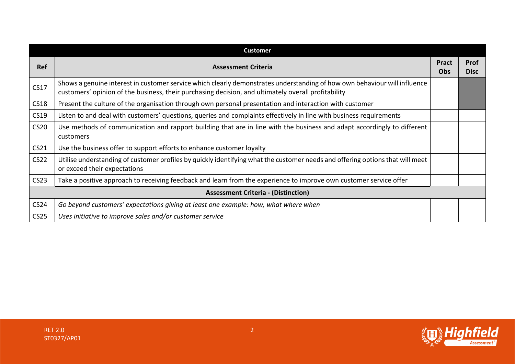|                  | <b>Customer</b>                                                                                                                                                                                                                  |                            |                            |
|------------------|----------------------------------------------------------------------------------------------------------------------------------------------------------------------------------------------------------------------------------|----------------------------|----------------------------|
| Ref              | <b>Assessment Criteria</b>                                                                                                                                                                                                       | <b>Pract</b><br><b>Obs</b> | <b>Prof</b><br><b>Disc</b> |
| <b>CS17</b>      | Shows a genuine interest in customer service which clearly demonstrates understanding of how own behaviour will influence<br>customers' opinion of the business, their purchasing decision, and ultimately overall profitability |                            |                            |
| <b>CS18</b>      | Present the culture of the organisation through own personal presentation and interaction with customer                                                                                                                          |                            |                            |
| <b>CS19</b>      | Listen to and deal with customers' questions, queries and complaints effectively in line with business requirements                                                                                                              |                            |                            |
| <b>CS20</b>      | Use methods of communication and rapport building that are in line with the business and adapt accordingly to different<br>customers                                                                                             |                            |                            |
| CS <sub>21</sub> | Use the business offer to support efforts to enhance customer loyalty                                                                                                                                                            |                            |                            |
| <b>CS22</b>      | Utilise understanding of customer profiles by quickly identifying what the customer needs and offering options that will meet<br>or exceed their expectations                                                                    |                            |                            |
| <b>CS23</b>      | Take a positive approach to receiving feedback and learn from the experience to improve own customer service offer                                                                                                               |                            |                            |
|                  | <b>Assessment Criteria - (Distinction)</b>                                                                                                                                                                                       |                            |                            |
| CS <sub>24</sub> | Go beyond customers' expectations giving at least one example: how, what where when                                                                                                                                              |                            |                            |
| <b>CS25</b>      | Uses initiative to improve sales and/or customer service                                                                                                                                                                         |                            |                            |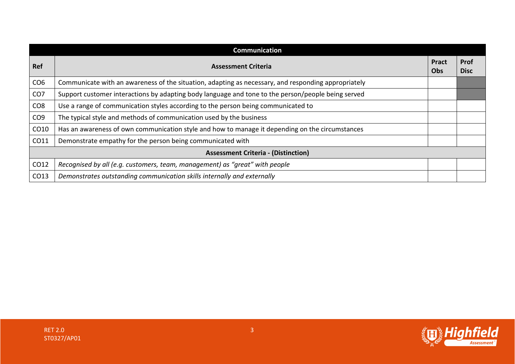|                 | <b>Communication</b>                                                                                |              |                            |
|-----------------|-----------------------------------------------------------------------------------------------------|--------------|----------------------------|
| Ref             | <b>Assessment Criteria</b>                                                                          | Pract<br>Obs | <b>Prof</b><br><b>Disc</b> |
| CO <sub>6</sub> | Communicate with an awareness of the situation, adapting as necessary, and responding appropriately |              |                            |
| CO <sub>7</sub> | Support customer interactions by adapting body language and tone to the person/people being served  |              |                            |
| CO <sub>8</sub> | Use a range of communication styles according to the person being communicated to                   |              |                            |
| CO <sub>9</sub> | The typical style and methods of communication used by the business                                 |              |                            |
| CO10            | Has an awareness of own communication style and how to manage it depending on the circumstances     |              |                            |
| CO11            | Demonstrate empathy for the person being communicated with                                          |              |                            |
|                 | <b>Assessment Criteria - (Distinction)</b>                                                          |              |                            |
| CO12            | Recognised by all (e.g. customers, team, management) as "great" with people                         |              |                            |
| CO13            | Demonstrates outstanding communication skills internally and externally                             |              |                            |

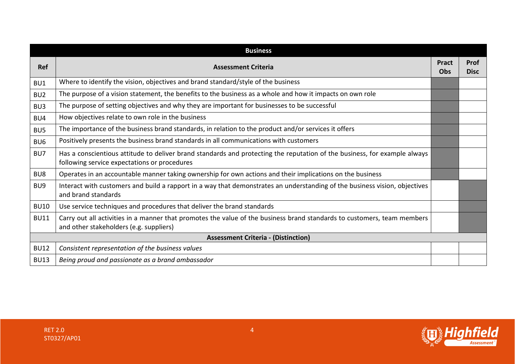|                 | <b>Business</b>                                                                                                                                                           |                            |                            |
|-----------------|---------------------------------------------------------------------------------------------------------------------------------------------------------------------------|----------------------------|----------------------------|
| <b>Ref</b>      | <b>Assessment Criteria</b>                                                                                                                                                | <b>Pract</b><br><b>Obs</b> | <b>Prof</b><br><b>Disc</b> |
| BU1             | Where to identify the vision, objectives and brand standard/style of the business                                                                                         |                            |                            |
| BU <sub>2</sub> | The purpose of a vision statement, the benefits to the business as a whole and how it impacts on own role                                                                 |                            |                            |
| BU <sub>3</sub> | The purpose of setting objectives and why they are important for businesses to be successful                                                                              |                            |                            |
| BU4             | How objectives relate to own role in the business                                                                                                                         |                            |                            |
| BU <sub>5</sub> | The importance of the business brand standards, in relation to the product and/or services it offers                                                                      |                            |                            |
| BU <sub>6</sub> | Positively presents the business brand standards in all communications with customers                                                                                     |                            |                            |
| BU7             | Has a conscientious attitude to deliver brand standards and protecting the reputation of the business, for example always<br>following service expectations or procedures |                            |                            |
| BU8             | Operates in an accountable manner taking ownership for own actions and their implications on the business                                                                 |                            |                            |
| BU <sub>9</sub> | Interact with customers and build a rapport in a way that demonstrates an understanding of the business vision, objectives<br>and brand standards                         |                            |                            |
| <b>BU10</b>     | Use service techniques and procedures that deliver the brand standards                                                                                                    |                            |                            |
| <b>BU11</b>     | Carry out all activities in a manner that promotes the value of the business brand standards to customers, team members<br>and other stakeholders (e.g. suppliers)        |                            |                            |
|                 | <b>Assessment Criteria - (Distinction)</b>                                                                                                                                |                            |                            |
| <b>BU12</b>     | Consistent representation of the business values                                                                                                                          |                            |                            |
| <b>BU13</b>     | Being proud and passionate as a brand ambassador                                                                                                                          |                            |                            |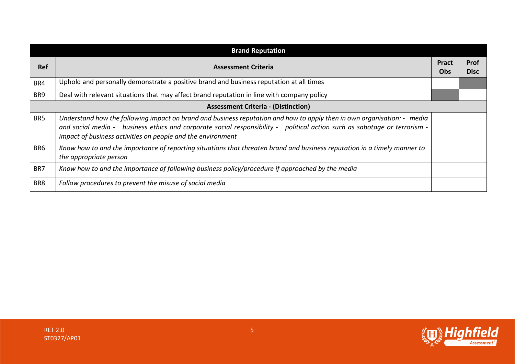| <b>Brand Reputation</b>                    |                                                                                                                                                                                                                                                                                                                     |                            |                            |
|--------------------------------------------|---------------------------------------------------------------------------------------------------------------------------------------------------------------------------------------------------------------------------------------------------------------------------------------------------------------------|----------------------------|----------------------------|
| <b>Ref</b>                                 | <b>Assessment Criteria</b>                                                                                                                                                                                                                                                                                          | <b>Pract</b><br><b>Obs</b> | <b>Prof</b><br><b>Disc</b> |
| BR4                                        | Uphold and personally demonstrate a positive brand and business reputation at all times                                                                                                                                                                                                                             |                            |                            |
| BR9                                        | Deal with relevant situations that may affect brand reputation in line with company policy                                                                                                                                                                                                                          |                            |                            |
| <b>Assessment Criteria - (Distinction)</b> |                                                                                                                                                                                                                                                                                                                     |                            |                            |
| BR <sub>5</sub>                            | Understand how the following impact on brand and business reputation and how to apply then in own organisation: - media<br>and social media - business ethics and corporate social responsibility - political action such as sabotage or terrorism -<br>impact of business activities on people and the environment |                            |                            |
| BR <sub>6</sub>                            | Know how to and the importance of reporting situations that threaten brand and business reputation in a timely manner to<br>the appropriate person                                                                                                                                                                  |                            |                            |
| BR7                                        | Know how to and the importance of following business policy/procedure if approached by the media                                                                                                                                                                                                                    |                            |                            |
| BR8                                        | Follow procedures to prevent the misuse of social media                                                                                                                                                                                                                                                             |                            |                            |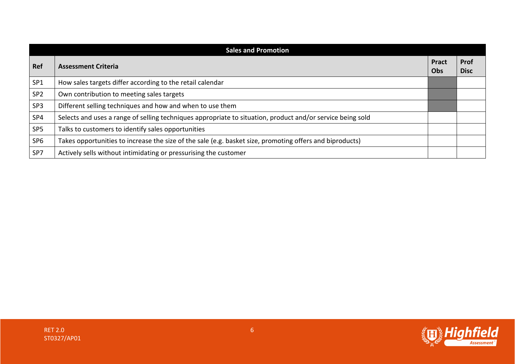| <b>Sales and Promotion</b> |                                                                                                            |              |                            |
|----------------------------|------------------------------------------------------------------------------------------------------------|--------------|----------------------------|
| <b>Ref</b>                 | <b>Assessment Criteria</b>                                                                                 | Pract<br>Obs | <b>Prof</b><br><b>Disc</b> |
| SP <sub>1</sub>            | How sales targets differ according to the retail calendar                                                  |              |                            |
| SP <sub>2</sub>            | Own contribution to meeting sales targets                                                                  |              |                            |
| SP <sub>3</sub>            | Different selling techniques and how and when to use them                                                  |              |                            |
| SP4                        | Selects and uses a range of selling techniques appropriate to situation, product and/or service being sold |              |                            |
| SP <sub>5</sub>            | Talks to customers to identify sales opportunities                                                         |              |                            |
| SP <sub>6</sub>            | Takes opportunities to increase the size of the sale (e.g. basket size, promoting offers and biproducts)   |              |                            |
| SP7                        | Actively sells without intimidating or pressurising the customer                                           |              |                            |

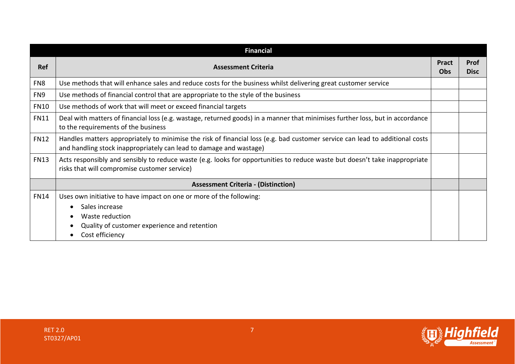|             | <b>Financial</b>                                                                                                                                                                                   |                     |                            |
|-------------|----------------------------------------------------------------------------------------------------------------------------------------------------------------------------------------------------|---------------------|----------------------------|
| <b>Ref</b>  | <b>Assessment Criteria</b>                                                                                                                                                                         | <b>Pract</b><br>Obs | <b>Prof</b><br><b>Disc</b> |
| FN8         | Use methods that will enhance sales and reduce costs for the business whilst delivering great customer service                                                                                     |                     |                            |
| FN9         | Use methods of financial control that are appropriate to the style of the business                                                                                                                 |                     |                            |
| <b>FN10</b> | Use methods of work that will meet or exceed financial targets                                                                                                                                     |                     |                            |
| <b>FN11</b> | Deal with matters of financial loss (e.g. wastage, returned goods) in a manner that minimises further loss, but in accordance<br>to the requirements of the business                               |                     |                            |
| <b>FN12</b> | Handles matters appropriately to minimise the risk of financial loss (e.g. bad customer service can lead to additional costs<br>and handling stock inappropriately can lead to damage and wastage) |                     |                            |
| <b>FN13</b> | Acts responsibly and sensibly to reduce waste (e.g. looks for opportunities to reduce waste but doesn't take inappropriate<br>risks that will compromise customer service)                         |                     |                            |
|             | <b>Assessment Criteria - (Distinction)</b>                                                                                                                                                         |                     |                            |
| <b>FN14</b> | Uses own initiative to have impact on one or more of the following:                                                                                                                                |                     |                            |
|             | Sales increase                                                                                                                                                                                     |                     |                            |
|             | Waste reduction                                                                                                                                                                                    |                     |                            |
|             | Quality of customer experience and retention                                                                                                                                                       |                     |                            |
|             | Cost efficiency                                                                                                                                                                                    |                     |                            |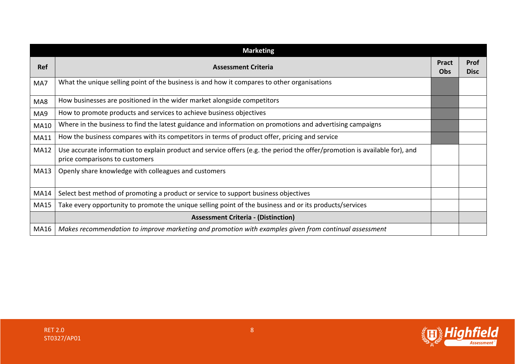|             | <b>Marketing</b>                                                                                                                                             |                     |                            |
|-------------|--------------------------------------------------------------------------------------------------------------------------------------------------------------|---------------------|----------------------------|
| <b>Ref</b>  | <b>Assessment Criteria</b>                                                                                                                                   | <b>Pract</b><br>Obs | <b>Prof</b><br><b>Disc</b> |
| MA7         | What the unique selling point of the business is and how it compares to other organisations                                                                  |                     |                            |
| MA8         | How businesses are positioned in the wider market alongside competitors                                                                                      |                     |                            |
| MA9         | How to promote products and services to achieve business objectives                                                                                          |                     |                            |
| <b>MA10</b> | Where in the business to find the latest guidance and information on promotions and advertising campaigns                                                    |                     |                            |
| <b>MA11</b> | How the business compares with its competitors in terms of product offer, pricing and service                                                                |                     |                            |
| <b>MA12</b> | Use accurate information to explain product and service offers (e.g. the period the offer/promotion is available for), and<br>price comparisons to customers |                     |                            |
| MA13        | Openly share knowledge with colleagues and customers                                                                                                         |                     |                            |
| <b>MA14</b> | Select best method of promoting a product or service to support business objectives                                                                          |                     |                            |
| <b>MA15</b> | Take every opportunity to promote the unique selling point of the business and or its products/services                                                      |                     |                            |
|             | <b>Assessment Criteria - (Distinction)</b>                                                                                                                   |                     |                            |
| MA16        | Makes recommendation to improve marketing and promotion with examples given from continual assessment                                                        |                     |                            |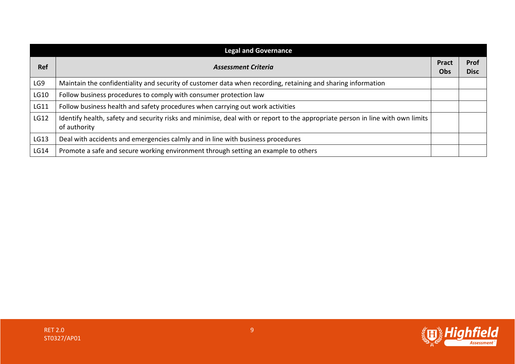| <b>Legal and Governance</b> |                                                                                                                                                |                     |                            |
|-----------------------------|------------------------------------------------------------------------------------------------------------------------------------------------|---------------------|----------------------------|
| <b>Ref</b>                  | <b>Assessment Criteria</b>                                                                                                                     | <b>Pract</b><br>Obs | <b>Prof</b><br><b>Disc</b> |
| LG9                         | Maintain the confidentiality and security of customer data when recording, retaining and sharing information                                   |                     |                            |
| <b>LG10</b>                 | Follow business procedures to comply with consumer protection law                                                                              |                     |                            |
| <b>LG11</b>                 | Follow business health and safety procedures when carrying out work activities                                                                 |                     |                            |
| <b>LG12</b>                 | Identify health, safety and security risks and minimise, deal with or report to the appropriate person in line with own limits<br>of authority |                     |                            |
| <b>LG13</b>                 | Deal with accidents and emergencies calmly and in line with business procedures                                                                |                     |                            |
| LG14                        | Promote a safe and secure working environment through setting an example to others                                                             |                     |                            |

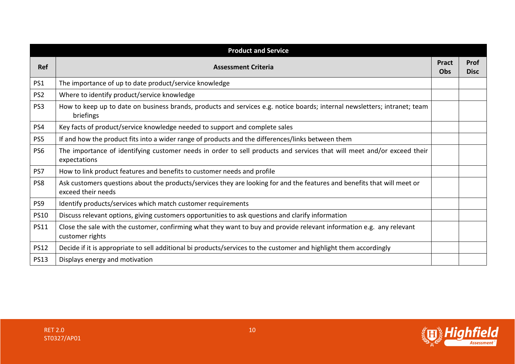|                 | <b>Product and Service</b>                                                                                                                     |                     |                            |
|-----------------|------------------------------------------------------------------------------------------------------------------------------------------------|---------------------|----------------------------|
| <b>Ref</b>      | <b>Assessment Criteria</b>                                                                                                                     | <b>Pract</b><br>Obs | <b>Prof</b><br><b>Disc</b> |
| PS1             | The importance of up to date product/service knowledge                                                                                         |                     |                            |
| PS <sub>2</sub> | Where to identify product/service knowledge                                                                                                    |                     |                            |
| PS3             | How to keep up to date on business brands, products and services e.g. notice boards; internal newsletters; intranet; team<br>briefings         |                     |                            |
| PS4             | Key facts of product/service knowledge needed to support and complete sales                                                                    |                     |                            |
| PS5             | If and how the product fits into a wider range of products and the differences/links between them                                              |                     |                            |
| PS6             | The importance of identifying customer needs in order to sell products and services that will meet and/or exceed their<br>expectations         |                     |                            |
| PS7             | How to link product features and benefits to customer needs and profile                                                                        |                     |                            |
| PS8             | Ask customers questions about the products/services they are looking for and the features and benefits that will meet or<br>exceed their needs |                     |                            |
| PS9             | Identify products/services which match customer requirements                                                                                   |                     |                            |
| <b>PS10</b>     | Discuss relevant options, giving customers opportunities to ask questions and clarify information                                              |                     |                            |
| <b>PS11</b>     | Close the sale with the customer, confirming what they want to buy and provide relevant information e.g. any relevant<br>customer rights       |                     |                            |
| <b>PS12</b>     | Decide if it is appropriate to sell additional bi products/services to the customer and highlight them accordingly                             |                     |                            |
| <b>PS13</b>     | Displays energy and motivation                                                                                                                 |                     |                            |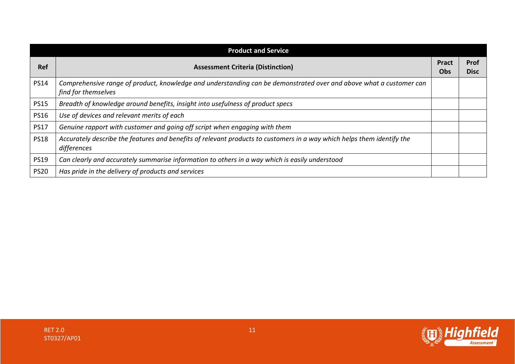|             | <b>Product and Service</b>                                                                                                                |                     |                     |
|-------------|-------------------------------------------------------------------------------------------------------------------------------------------|---------------------|---------------------|
| <b>Ref</b>  | <b>Assessment Criteria (Distinction)</b>                                                                                                  | <b>Pract</b><br>Obs | Prof<br><b>Disc</b> |
| <b>PS14</b> | Comprehensive range of product, knowledge and understanding can be demonstrated over and above what a customer can<br>find for themselves |                     |                     |
| <b>PS15</b> | Breadth of knowledge around benefits, insight into usefulness of product specs                                                            |                     |                     |
| <b>PS16</b> | Use of devices and relevant merits of each                                                                                                |                     |                     |
| <b>PS17</b> | Genuine rapport with customer and going off script when engaging with them                                                                |                     |                     |
| <b>PS18</b> | Accurately describe the features and benefits of relevant products to customers in a way which helps them identify the<br>differences     |                     |                     |
| <b>PS19</b> | Can clearly and accurately summarise information to others in a way which is easily understood                                            |                     |                     |
| <b>PS20</b> | Has pride in the delivery of products and services                                                                                        |                     |                     |

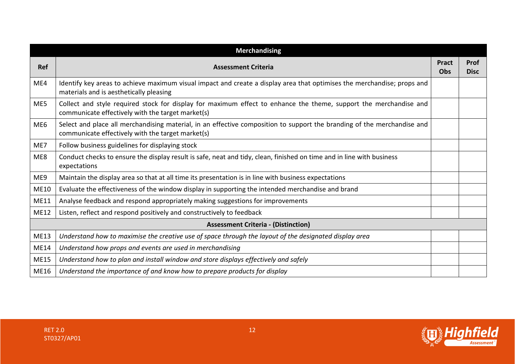|                 | <b>Merchandising</b>                                                                                                                                                         |                     |                     |
|-----------------|------------------------------------------------------------------------------------------------------------------------------------------------------------------------------|---------------------|---------------------|
| <b>Ref</b>      | <b>Assessment Criteria</b>                                                                                                                                                   | <b>Pract</b><br>Obs | Prof<br><b>Disc</b> |
| ME4             | Identify key areas to achieve maximum visual impact and create a display area that optimises the merchandise; props and<br>materials and is aesthetically pleasing           |                     |                     |
| ME5             | Collect and style required stock for display for maximum effect to enhance the theme, support the merchandise and<br>communicate effectively with the target market(s)       |                     |                     |
| ME <sub>6</sub> | Select and place all merchandising material, in an effective composition to support the branding of the merchandise and<br>communicate effectively with the target market(s) |                     |                     |
| ME7             | Follow business guidelines for displaying stock                                                                                                                              |                     |                     |
| ME8             | Conduct checks to ensure the display result is safe, neat and tidy, clean, finished on time and in line with business<br>expectations                                        |                     |                     |
| ME9             | Maintain the display area so that at all time its presentation is in line with business expectations                                                                         |                     |                     |
| <b>ME10</b>     | Evaluate the effectiveness of the window display in supporting the intended merchandise and brand                                                                            |                     |                     |
| <b>ME11</b>     | Analyse feedback and respond appropriately making suggestions for improvements                                                                                               |                     |                     |
| <b>ME12</b>     | Listen, reflect and respond positively and constructively to feedback                                                                                                        |                     |                     |
|                 | <b>Assessment Criteria - (Distinction)</b>                                                                                                                                   |                     |                     |
| <b>ME13</b>     | Understand how to maximise the creative use of space through the layout of the designated display area                                                                       |                     |                     |
| <b>ME14</b>     | Understand how props and events are used in merchandising                                                                                                                    |                     |                     |
| <b>ME15</b>     | Understand how to plan and install window and store displays effectively and safely                                                                                          |                     |                     |
| <b>ME16</b>     | Understand the importance of and know how to prepare products for display                                                                                                    |                     |                     |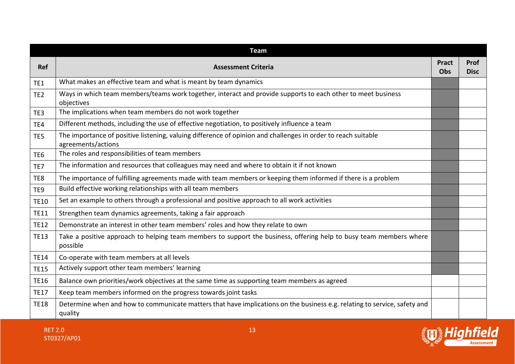|                 | <b>Team</b>                                                                                                                          |                     |                            |
|-----------------|--------------------------------------------------------------------------------------------------------------------------------------|---------------------|----------------------------|
| <b>Ref</b>      | <b>Assessment Criteria</b>                                                                                                           | <b>Pract</b><br>Obs | <b>Prof</b><br><b>Disc</b> |
| TE1             | What makes an effective team and what is meant by team dynamics                                                                      |                     |                            |
| TE <sub>2</sub> | Ways in which team members/teams work together, interact and provide supports to each other to meet business<br>objectives           |                     |                            |
| TE3             | The implications when team members do not work together                                                                              |                     |                            |
| TE4             | Different methods, including the use of effective negotiation, to positively influence a team                                        |                     |                            |
| TE5             | The importance of positive listening, valuing difference of opinion and challenges in order to reach suitable<br>agreements/actions  |                     |                            |
| TE <sub>6</sub> | The roles and responsibilities of team members                                                                                       |                     |                            |
| TE7             | The information and resources that colleagues may need and where to obtain it if not known                                           |                     |                            |
| TE8             | The importance of fulfilling agreements made with team members or keeping them informed if there is a problem                        |                     |                            |
| TE9             | Build effective working relationships with all team members                                                                          |                     |                            |
| <b>TE10</b>     | Set an example to others through a professional and positive approach to all work activities                                         |                     |                            |
| <b>TE11</b>     | Strengthen team dynamics agreements, taking a fair approach                                                                          |                     |                            |
| <b>TE12</b>     | Demonstrate an interest in other team members' roles and how they relate to own                                                      |                     |                            |
| <b>TE13</b>     | Take a positive approach to helping team members to support the business, offering help to busy team members where<br>possible       |                     |                            |
| <b>TE14</b>     | Co-operate with team members at all levels                                                                                           |                     |                            |
| <b>TE15</b>     | Actively support other team members' learning                                                                                        |                     |                            |
| <b>TE16</b>     | Balance own priorities/work objectives at the same time as supporting team members as agreed                                         |                     |                            |
| <b>TE17</b>     | Keep team members informed on the progress towards joint tasks                                                                       |                     |                            |
| <b>TE18</b>     | Determine when and how to communicate matters that have implications on the business e.g. relating to service, safety and<br>quality |                     |                            |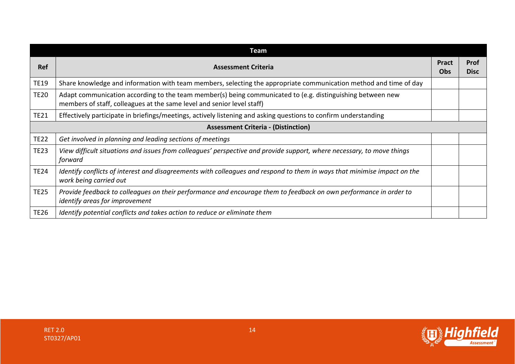| <b>Team</b>                                |                                                                                                                                                                                      |                     |                            |
|--------------------------------------------|--------------------------------------------------------------------------------------------------------------------------------------------------------------------------------------|---------------------|----------------------------|
| <b>Ref</b>                                 | <b>Assessment Criteria</b>                                                                                                                                                           | <b>Pract</b><br>Obs | <b>Prof</b><br><b>Disc</b> |
| <b>TE19</b>                                | Share knowledge and information with team members, selecting the appropriate communication method and time of day                                                                    |                     |                            |
| <b>TE20</b>                                | Adapt communication according to the team member(s) being communicated to (e.g. distinguishing between new<br>members of staff, colleagues at the same level and senior level staff) |                     |                            |
| <b>TE21</b>                                | Effectively participate in briefings/meetings, actively listening and asking questions to confirm understanding                                                                      |                     |                            |
| <b>Assessment Criteria - (Distinction)</b> |                                                                                                                                                                                      |                     |                            |
| <b>TE22</b>                                | Get involved in planning and leading sections of meetings                                                                                                                            |                     |                            |
| <b>TE23</b>                                | View difficult situations and issues from colleagues' perspective and provide support, where necessary, to move things<br>forward                                                    |                     |                            |
| <b>TE24</b>                                | Identify conflicts of interest and disagreements with colleagues and respond to them in ways that minimise impact on the<br>work being carried out                                   |                     |                            |
| <b>TE25</b>                                | Provide feedback to colleagues on their performance and encourage them to feedback on own performance in order to<br><i>identify areas for improvement</i>                           |                     |                            |
| <b>TE26</b>                                | Identify potential conflicts and takes action to reduce or eliminate them                                                                                                            |                     |                            |

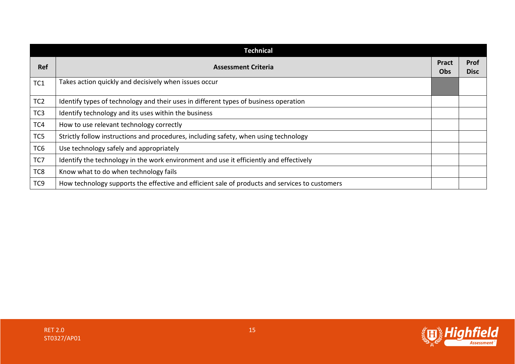|                 | <b>Technical</b>                                                                               |                     |                            |
|-----------------|------------------------------------------------------------------------------------------------|---------------------|----------------------------|
| <b>Ref</b>      | <b>Assessment Criteria</b>                                                                     | <b>Pract</b><br>Obs | <b>Prof</b><br><b>Disc</b> |
| TC <sub>1</sub> | Takes action quickly and decisively when issues occur                                          |                     |                            |
| TC <sub>2</sub> | Identify types of technology and their uses in different types of business operation           |                     |                            |
| TC <sub>3</sub> | Identify technology and its uses within the business                                           |                     |                            |
| TC4             | How to use relevant technology correctly                                                       |                     |                            |
| TC <sub>5</sub> | Strictly follow instructions and procedures, including safety, when using technology           |                     |                            |
| TC <sub>6</sub> | Use technology safely and appropriately                                                        |                     |                            |
| TC7             | Identify the technology in the work environment and use it efficiently and effectively         |                     |                            |
| TC8             | Know what to do when technology fails                                                          |                     |                            |
| TC <sub>9</sub> | How technology supports the effective and efficient sale of products and services to customers |                     |                            |

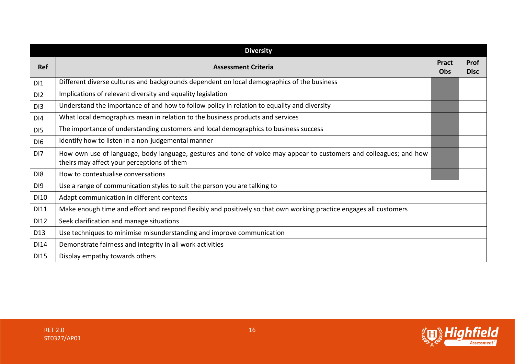|                 | <b>Diversity</b>                                                                                                                                                 |                            |                            |
|-----------------|------------------------------------------------------------------------------------------------------------------------------------------------------------------|----------------------------|----------------------------|
| <b>Ref</b>      | <b>Assessment Criteria</b>                                                                                                                                       | <b>Pract</b><br><b>Obs</b> | <b>Prof</b><br><b>Disc</b> |
| D11             | Different diverse cultures and backgrounds dependent on local demographics of the business                                                                       |                            |                            |
| DI2             | Implications of relevant diversity and equality legislation                                                                                                      |                            |                            |
| D <sub>13</sub> | Understand the importance of and how to follow policy in relation to equality and diversity                                                                      |                            |                            |
| DI4             | What local demographics mean in relation to the business products and services                                                                                   |                            |                            |
| DI <sub>5</sub> | The importance of understanding customers and local demographics to business success                                                                             |                            |                            |
| D <sub>16</sub> | Identify how to listen in a non-judgemental manner                                                                                                               |                            |                            |
| D <sub>17</sub> | How own use of language, body language, gestures and tone of voice may appear to customers and colleagues; and how<br>theirs may affect your perceptions of them |                            |                            |
| D <sub>18</sub> | How to contextualise conversations                                                                                                                               |                            |                            |
| DI <sub>9</sub> | Use a range of communication styles to suit the person you are talking to                                                                                        |                            |                            |
| <b>DI10</b>     | Adapt communication in different contexts                                                                                                                        |                            |                            |
| <b>DI11</b>     | Make enough time and effort and respond flexibly and positively so that own working practice engages all customers                                               |                            |                            |
| DI12            | Seek clarification and manage situations                                                                                                                         |                            |                            |
| D13             | Use techniques to minimise misunderstanding and improve communication                                                                                            |                            |                            |
| DI14            | Demonstrate fairness and integrity in all work activities                                                                                                        |                            |                            |
| DI15            | Display empathy towards others                                                                                                                                   |                            |                            |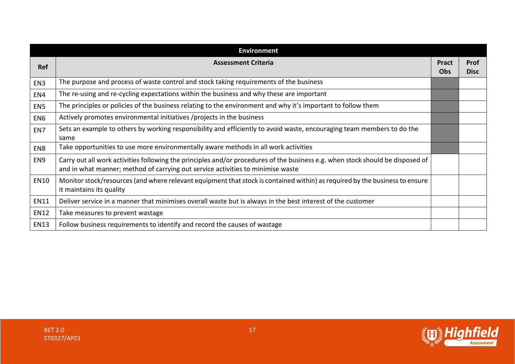| <b>Environment</b> |                                                                                                                                                                                                                   |                            |                            |
|--------------------|-------------------------------------------------------------------------------------------------------------------------------------------------------------------------------------------------------------------|----------------------------|----------------------------|
| <b>Ref</b>         | <b>Assessment Criteria</b>                                                                                                                                                                                        | <b>Pract</b><br><b>Obs</b> | <b>Prof</b><br><b>Disc</b> |
| EN <sub>3</sub>    | The purpose and process of waste control and stock taking requirements of the business                                                                                                                            |                            |                            |
| EN4                | The re-using and re-cycling expectations within the business and why these are important                                                                                                                          |                            |                            |
| EN <sub>5</sub>    | The principles or policies of the business relating to the environment and why it's important to follow them                                                                                                      |                            |                            |
| EN <sub>6</sub>    | Actively promotes environmental initiatives / projects in the business                                                                                                                                            |                            |                            |
| EN7                | Sets an example to others by working responsibility and efficiently to avoid waste, encouraging team members to do the<br>same                                                                                    |                            |                            |
| EN <sub>8</sub>    | Take opportunities to use more environmentally aware methods in all work activities                                                                                                                               |                            |                            |
| EN <sub>9</sub>    | Carry out all work activities following the principles and/or procedures of the business e.g. when stock should be disposed of<br>and in what manner; method of carrying out service activities to minimise waste |                            |                            |
| <b>EN10</b>        | Monitor stock/resources (and where relevant equipment that stock is contained within) as required by the business to ensure<br>it maintains its quality                                                           |                            |                            |
| <b>EN11</b>        | Deliver service in a manner that minimises overall waste but is always in the best interest of the customer                                                                                                       |                            |                            |
| <b>EN12</b>        | Take measures to prevent wastage                                                                                                                                                                                  |                            |                            |
| <b>EN13</b>        | Follow business requirements to identify and record the causes of wastage                                                                                                                                         |                            |                            |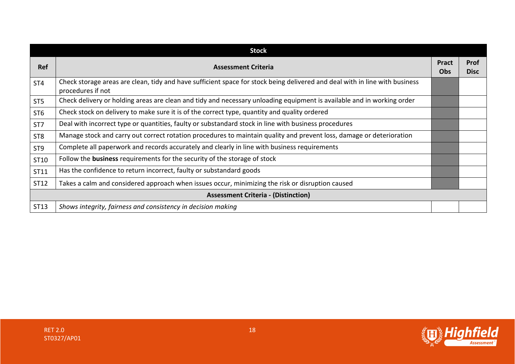|                 | <b>Stock</b>                                                                                                                                     |                     |                     |
|-----------------|--------------------------------------------------------------------------------------------------------------------------------------------------|---------------------|---------------------|
| <b>Ref</b>      | <b>Assessment Criteria</b>                                                                                                                       | <b>Pract</b><br>Obs | Prof<br><b>Disc</b> |
| ST <sub>4</sub> | Check storage areas are clean, tidy and have sufficient space for stock being delivered and deal with in line with business<br>procedures if not |                     |                     |
| ST <sub>5</sub> | Check delivery or holding areas are clean and tidy and necessary unloading equipment is available and in working order                           |                     |                     |
| ST <sub>6</sub> | Check stock on delivery to make sure it is of the correct type, quantity and quality ordered                                                     |                     |                     |
| ST <sub>7</sub> | Deal with incorrect type or quantities, faulty or substandard stock in line with business procedures                                             |                     |                     |
| ST <sub>8</sub> | Manage stock and carry out correct rotation procedures to maintain quality and prevent loss, damage or deterioration                             |                     |                     |
| ST <sub>9</sub> | Complete all paperwork and records accurately and clearly in line with business requirements                                                     |                     |                     |
| ST10            | Follow the <b>business</b> requirements for the security of the storage of stock                                                                 |                     |                     |
| ST11            | Has the confidence to return incorrect, faulty or substandard goods                                                                              |                     |                     |
| ST12            | Takes a calm and considered approach when issues occur, minimizing the risk or disruption caused                                                 |                     |                     |
|                 | <b>Assessment Criteria - (Distinction)</b>                                                                                                       |                     |                     |
| ST13            | Shows integrity, fairness and consistency in decision making                                                                                     |                     |                     |